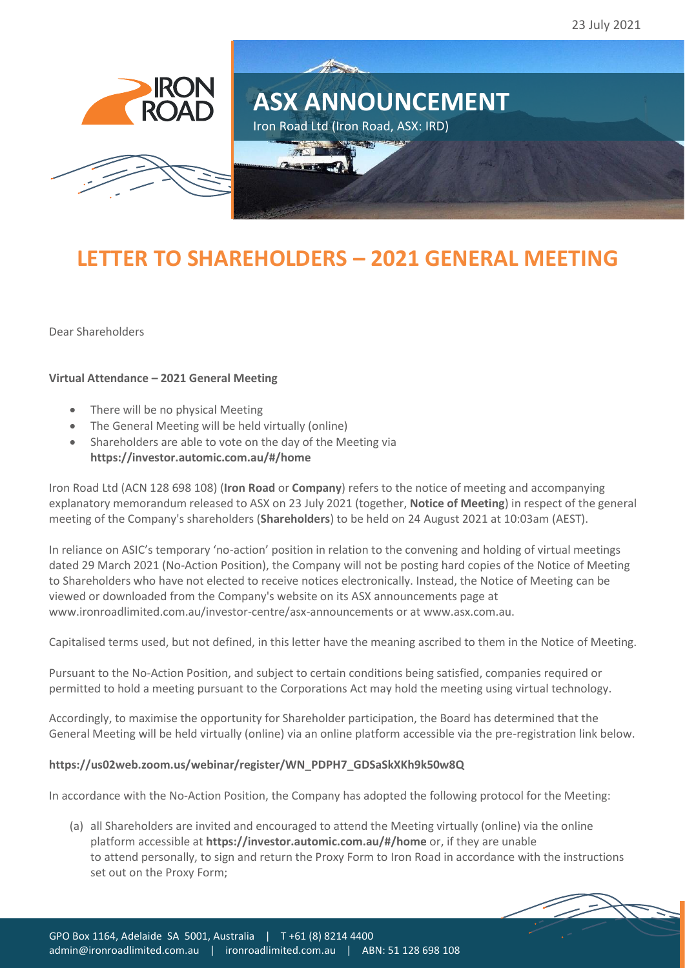



## **LETTER TO SHAREHOLDERS – 2021 GENERAL MEETING**

Iron Road Ltd (Iron Road, ASX: IRD)

All Constant

**ASX ANNOUNCEMENT**

Dear Shareholders

## **Virtual Attendance – 2021 General Meeting**

- There will be no physical Meeting
- The General Meeting will be held virtually (online)
- Shareholders are able to vote on the day of the Meeting via **<https://investor.automic.com.au/#/home>**

Iron Road Ltd (ACN 128 698 108) (**Iron Road** or **Company**) refers to the notice of meeting and accompanying explanatory memorandum released to ASX on 23 July 2021 (together, **Notice of Meeting**) in respect of the general meeting of the Company's shareholders (**Shareholders**) to be held on 24 August 2021 at 10:03am (AEST).

In reliance on ASIC's temporary 'no-action' position in relation to the convening and holding of virtual meetings dated 29 March 2021 (No-Action Position), the Company will not be posting hard copies of the Notice of Meeting to Shareholders who have not elected to receive notices electronically. Instead, the Notice of Meeting can be viewed or downloaded from the Company's website on its ASX announcements page at [www.ironroadlimited.com.au/investor-centre/asx-announcements](http://www.ironroadlimited.com.au/investor-centre/asx-announcements) or at [www.asx.com.au.](http://www.asx.com.au/)

Capitalised terms used, but not defined, in this letter have the meaning ascribed to them in the Notice of Meeting.

Pursuant to the No-Action Position, and subject to certain conditions being satisfied, companies required or permitted to hold a meeting pursuant to the Corporations Act may hold the meeting using virtual technology.

Accordingly, to maximise the opportunity for Shareholder participation, the Board has determined that the General Meeting will be held virtually (online) via an online platform accessible via the pre-registration link below.

## **[https://us02web.zoom.us/webinar/register/WN\\_PDPH7\\_GDSaSkXKh9k50w8Q](https://us02web.zoom.us/webinar/register/WN_PDPH7_GDSaSkXKh9k50w8Q)**

In accordance with the No-Action Position, the Company has adopted the following protocol for the Meeting:

(a) all Shareholders are invited and encouraged to attend the Meeting virtually (online) via the online platform accessible at **<https://investor.automic.com.au/#/home>** or, if they are unable to attend personally, to sign and return the Proxy Form to Iron Road in accordance with the instructions set out on the Proxy Form;